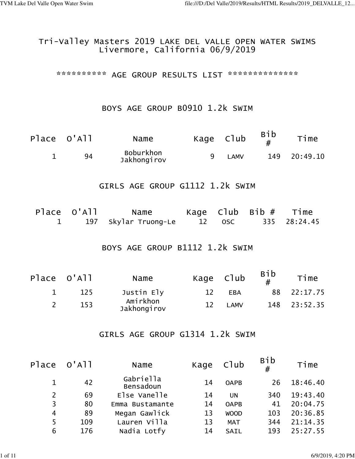## Tri-Valley Masters 2019 LAKE DEL VALLE OPEN WATER SWIMS Livermore, California 06/9/2019

\*\*\*\*\*\*\*\*\*\*\* AGE GROUP RESULTS LIST \*\*\*\*\*\*\*\*\*\*\*\*\*\*\*

#### BOYS AGE GROUP B0910 1.2k SWIM

| Place O'All | Name                     | Kage Club |      | <b>Bib</b> | Time     |
|-------------|--------------------------|-----------|------|------------|----------|
| 94          | Boburkhon<br>Jakhongirov |           | LAMV | 149        | 20:49.10 |

### GIRLS AGE GROUP G1112 1.2k SWIM

| Place O'All | Name                   |        | Kage $C1ub$ Bib $#$ | Time         |
|-------------|------------------------|--------|---------------------|--------------|
|             | 1 197 Skylar Truong-Le | 12 OSC |                     | 335 28:24.45 |

# BOYS AGE GROUP B1112 1.2k SWIM

| Place O'All | Name                    | Kage Club |             | <b>Bib</b> | Time         |
|-------------|-------------------------|-----------|-------------|------------|--------------|
| 125         | Justin Ely              | 12        | <b>EBA</b>  | 88.        | 22:17.75     |
| 153         | Amirkhon<br>Jakhongirov | 12        | <b>LAMV</b> |            | 148 23:52.35 |

## GIRLS AGE GROUP G1314 1.2k SWIM

|                | Place O'All | Name                          | Kage | Club        | <b>Bib</b><br># | Time     |
|----------------|-------------|-------------------------------|------|-------------|-----------------|----------|
|                | 42          | Gabriella<br><b>Bensadoun</b> | 14   | <b>OAPB</b> | 26              | 18:46.40 |
| $\overline{2}$ | 69          | Else Vanelle                  | 14   | UN          | 340             | 19:43.40 |
| 3              | 80          | Emma Bustamante               | 14   | <b>OAPB</b> | 41              | 20:04.75 |
| $\overline{4}$ | 89          | Megan Gawlick                 | 13   | <b>WOOD</b> | 103             | 20:36.85 |
| 5              | 109         | Lauren Villa                  | 13   | <b>MAT</b>  | 344             | 21:14.35 |
| 6              | 176         | Nadia Lotfy                   | 14   | SAIL        | 193             | 25:27.55 |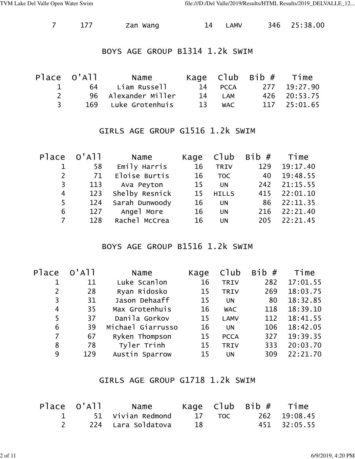|  |  | Zan Wang | <b>LAMV</b> |  | 346 25:38.00 |
|--|--|----------|-------------|--|--------------|
|--|--|----------|-------------|--|--------------|

#### BOYS AGE GROUP B1314 1.2k SWIM

|                               | Place O'All | Name                  |    |            | Kage $C1ub$ Bib $#$ Time |              |
|-------------------------------|-------------|-----------------------|----|------------|--------------------------|--------------|
| $\mathbf{T}$ and $\mathbf{T}$ |             | 64       Liam Russell |    | 14 PCCA    |                          | 277 19:27.90 |
|                               |             | 96 Alexander Miller   |    | 14 LAM     |                          | 426 20:53.75 |
| २                             |             | 169 Luke Grotenhuis   | 13 | <b>WAC</b> |                          | 117 25:01.65 |

#### GIRLS AGE GROUP G1516 1.2k SWIM

|                | Place O'All | Name           |    |              | Kage $C1ub$ Bib $#$ | Time         |
|----------------|-------------|----------------|----|--------------|---------------------|--------------|
|                | 58          | Emily Harris   | 16 | <b>TRIV</b>  | 129                 | 19:17.40     |
| $\overline{2}$ | 71          | Eloise Burtis  | 16 | <b>TOC</b>   | 40                  | 19:48.55     |
| 3              | 113         | Ava Peyton     | 15 | <b>UN</b>    | 242                 | 21:15.55     |
| $\overline{4}$ | 123         | Shelby Resnick | 15 | <b>HILLS</b> |                     | 415 22:01.10 |
| 5              | 124         | Sarah Dunwoody | 16 | <b>UN</b>    | 86                  | 22:11.35     |
| 6              | 127         | Angel More     | 16 | <b>UN</b>    | 216                 | 22:21.40     |
| 7              | 128         | Rachel McCrea  | 16 | <b>UN</b>    | 205                 | 22:21.45     |
|                |             |                |    |              |                     |              |

## BOYS AGE GROUP B1516 1.2k SWIM

| $O'$ A $11$ | Name              | Kage | Club        | Bib# | Time     |
|-------------|-------------------|------|-------------|------|----------|
| 11          | Luke Scanlon      | 16   | <b>TRIV</b> | 282  | 17:01.55 |
| 28          | Ryan Ridosko      | 15   | <b>TRIV</b> | 269  | 18:03.75 |
| 31          | Jason Dehaaff     | 15   | <b>UN</b>   | 80   | 18:32.85 |
| 35          | Max Grotenhuis    | 16   | <b>WAC</b>  | 118  | 18:39.10 |
| 37          | Danila Gorkov     | 15   | <b>LAMV</b> | 112  | 18:41.55 |
| 39          | Michael Giarrusso | 16   | <b>UN</b>   | 106  | 18:42.05 |
| 67          | Ryken Thompson    | 15   | <b>PCCA</b> | 327  | 19:39.35 |
| 78          | Tyler Trinh       | 15   | <b>TRIV</b> | 333  | 20:03.70 |
| 129         | Austin Sparrow    | 15   | <b>UN</b>   | 309  | 22:21.70 |
|             |                   |      |             |      |          |

## GIRLS AGE GROUP G1718 1.2k SWIM

|  | Place O'All   Name   |    | Kage C $\textsf{lub}$ Bib $\#$ Time |                     |
|--|----------------------|----|-------------------------------------|---------------------|
|  | 1 51 Vivian Redmond  |    |                                     | 17 TOC 262 19:08.45 |
|  | 224   Lara Soldatova | 18 |                                     | 451 32:05.55        |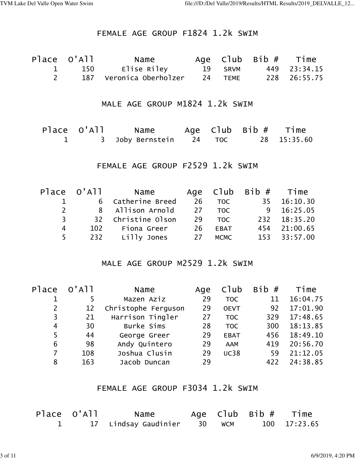## FEMALE AGE GROUP F1824 1.2k SWIM

| Place O'All | Name                    |         | Age $C1ub$ Bib $#$ Time |              |
|-------------|-------------------------|---------|-------------------------|--------------|
| 150         | Elise Riley             | 19 SRVM |                         | 449 23:34.15 |
|             | 187 Veronica Oberholzer | 24 TEME |                         | 228 26:55.75 |

# MALE AGE GROUP M1824 1.2k SWIM

| Place O'All | Name                    |  | Age $C1ub$ Bib $#$ | Time        |
|-------------|-------------------------|--|--------------------|-------------|
|             | 3 Joby Bernstein 24 TOC |  |                    | 28 15:35.60 |

## FEMALE AGE GROUP F2529 1.2k SWIM

|                | Place O'All | Name               |    |            | Age $C1ub$ Bib $#$ Time |              |
|----------------|-------------|--------------------|----|------------|-------------------------|--------------|
| $\mathbf{1}$   |             | 6 Catherine Breed  | 26 | <b>TOC</b> |                         | 35 16:10.30  |
| $2^{\circ}$    |             | 8 Allison Arnold   |    | 27 TOC     |                         | 9 16:25.05   |
| $\overline{3}$ |             | 32 Christine Olson |    | 29 TOC     |                         | 232 18:35.20 |
| 4              |             | 102 Fiona Greer    |    | 26 EBAT    |                         | 454 21:00.65 |
| 5              |             | 232 Lilly Jones    |    | 27 MCMC    |                         | 153 33:57.00 |

## MALE AGE GROUP M2529 1.2k SWIM

| Place | $O'$ A $11$ | Name                | Age | Club        | Bib# | Time     |
|-------|-------------|---------------------|-----|-------------|------|----------|
|       | 5           | Mazen Aziz          | 29  | <b>TOC</b>  | 11   | 16:04.75 |
| 2     | 12          | Christophe Ferguson | 29  | <b>OEVT</b> | 92   | 17:01.90 |
| 3     | 21          | Harrison Tingler    | 27  | <b>TOC</b>  | 329  | 17:48.65 |
| 4     | 30          | Burke Sims          | 28  | <b>TOC</b>  | 300  | 18:13.85 |
| 5     | 44          | George Greer        | 29  | <b>EBAT</b> | 456  | 18:49.10 |
| 6     | 98          | Andy Quintero       | 29  | <b>AAM</b>  | 419  | 20:56.70 |
| 7     | 108         | Joshua Clusin       | 29  | <b>UC38</b> | 59   | 21:12.05 |
| 8     | 163         | Jacob Duncan        | 29  |             | 422  | 24:38.85 |

# FEMALE AGE GROUP F3034 1.2k SWIM

| Place O'All | Name                        |  | Age $C1ub$ Bib $#$ Time |              |
|-------------|-----------------------------|--|-------------------------|--------------|
|             | 17 Lindsay Gaudinier 30 WCM |  |                         | 100 17:23.65 |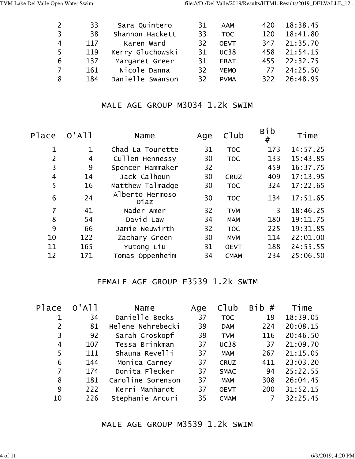| 2              | 33  | Sara Quintero    | 31 | <b>AAM</b>       | 420 | 18:38.45     |
|----------------|-----|------------------|----|------------------|-----|--------------|
| 3              | 38  | Shannon Hackett  | 33 | T <sub>O</sub> C | 120 | 18:41.80     |
| $\overline{4}$ | 117 | Karen Ward       | 32 | <b>OEVT</b>      | 347 | 21:35.70     |
| -5             | 119 | Kerry Gluchowski | 31 | <b>UC38</b>      | 458 | 21:54.15     |
| 6              | 137 | Margaret Greer   | 31 | <b>EBAT</b>      |     | 455 22:32.75 |
| 7              | 161 | Nicole Danna     | 32 | <b>MEMO</b>      |     | 77 24:25.50  |
| 8              | 184 | Danielle Swanson | 32 | <b>PVMA</b>      |     | 322 26:48.95 |
|                |     |                  |    |                  |     |              |

# MALE AGE GROUP M3034 1.2k SWIM

| Place          | $O'$ A $11$ | Name                    | Age | Club        | <b>Bib</b><br># | Time     |
|----------------|-------------|-------------------------|-----|-------------|-----------------|----------|
| 1              | 1           | Chad La Tourette        | 31  | <b>TOC</b>  | 173             | 14:57.25 |
| $\overline{2}$ | 4           | Cullen Hennessy         | 30  | <b>TOC</b>  | 133             | 15:43.85 |
| 3              | 9           | Spencer Hammaker        | 32  |             | 459             | 16:37.75 |
| 4              | 14          | Jack Calhoun            | 30  | <b>CRUZ</b> | 409             | 17:13.95 |
| 5              | 16          | Matthew Talmadge        | 30  | <b>TOC</b>  | 324             | 17:22.65 |
| 6              | 24          | Alberto Hermoso<br>Diaz | 30  | <b>TOC</b>  | 134             | 17:51.65 |
| $\overline{7}$ | 41          | Nader Amer              | 32  | <b>TVM</b>  | 3               | 18:46.25 |
| 8              | 54          | David Law               | 34  | <b>MAM</b>  | 180             | 19:11.75 |
| 9              | 66          | Jamie Neuwirth          | 32  | <b>TOC</b>  | 225             | 19:31.85 |
| 10             | 122         | Zachary Green           | 30  | <b>MVM</b>  | 114             | 22:01.00 |
| 11             | 165         | Yutong Liu              | 31  | <b>OEVT</b> | 188             | 24:55.55 |
| 12             | 171         | Tomas Oppenheim         | 34  | <b>CMAM</b> | 234             | 25:06.50 |
|                |             |                         |     |             |                 |          |

# FEMALE AGE GROUP F3539 1.2k SWIM

| Place | $O'$ A $11$ | Name              | Age | $C$ ] $ub$  | <b>Bib</b><br># | Time     |
|-------|-------------|-------------------|-----|-------------|-----------------|----------|
|       | 34          | Danielle Becks    | 37  | <b>TOC</b>  | 19              | 18:39.05 |
| 2     | 81          | Helene Nehrebecki | 39  | <b>DAM</b>  | 224             | 20:08.15 |
| 3     | 92          | Sarah Groskopf    | 39  | <b>TVM</b>  | 116             | 20:46.50 |
| 4     | 107         | Tessa Brinkman    | 37  | <b>UC38</b> | 37              | 21:09.70 |
| 5     | 111         | Shauna Revelli    | 37  | <b>MAM</b>  | 267             | 21:15.05 |
| 6     | 144         | Monica Carney     | 37  | <b>CRUZ</b> | 411             | 23:03.20 |
| 7     | 174         | Donita Flecker    | 37  | <b>SMAC</b> | 94              | 25:22.55 |
| 8     | 181         | Caroline Sorenson | 37  | <b>MAM</b>  | 308             | 26:04.45 |
| 9     | 222         | Kerri Manhardt    | 37  | <b>OEVT</b> | 200             | 31:52.15 |
| 10    | 226         | Stephanie Arcuri  | 35  | <b>CMAM</b> | 7               | 32:25.45 |

# MALE AGE GROUP M3539 1.2k SWIM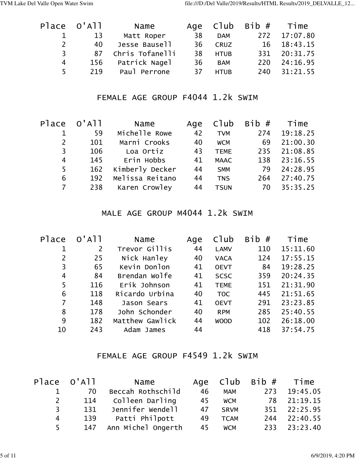|                | Place O'All | Name               |    |             | Age $C1ub$ Bib $#$ Time |              |
|----------------|-------------|--------------------|----|-------------|-------------------------|--------------|
|                | 13          | Matt Roper         | 38 | <b>DAM</b>  |                         | 272 17:07.80 |
| $\mathbf{2}$   | 40          | Jesse Bausell      | 36 | <b>CRUZ</b> |                         | 16 18:43.15  |
| 3 <sup>7</sup> |             | 87 Chris Tofanelli | 38 | <b>HTUB</b> |                         | 331 20:31.75 |
| 4              | 156         | Patrick Nagel      | 36 | <b>BAM</b>  | 220                     | 24:16.95     |
| 5.             | 219         | Paul Perrone       | 37 | <b>HTUB</b> |                         | 240 31:21.55 |

# FEMALE AGE GROUP F4044 1.2k SWIM

| Place          | $O'$ All | Name            |    |             | Age $C1ub$ Bib $#$ Time |              |
|----------------|----------|-----------------|----|-------------|-------------------------|--------------|
|                | 59       | Michelle Rowe   | 42 | <b>TVM</b>  | 274                     | 19:18.25     |
| 2              | 101      | Marni Crooks    | 40 | <b>WCM</b>  | 69                      | 21:00.30     |
| 3              | 106      | Loa Ortiz       | 43 | <b>TEME</b> | 235                     | 21:08.85     |
| 4              | 145      | Erin Hobbs      | 41 | <b>MAAC</b> |                         | 138 23:16.55 |
| 5              | 162      | Kimberly Decker | 44 | <b>SMM</b>  | 79                      | 24:28.95     |
| 6              | 192      | Melissa Reitano | 44 | <b>TNS</b>  | 264                     | 27:40.75     |
| $\overline{7}$ | 238      | Karen Crowley   | 44 | <b>TSUN</b> | 70                      | 35:35.25     |
|                |          |                 |    |             |                         |              |

# MALE AGE GROUP M4044 1.2k SWIM

| Place | $O'$ A $11$    | Name            | Age | Club        | <b>Bib</b><br># | Time     |
|-------|----------------|-----------------|-----|-------------|-----------------|----------|
|       | $\overline{2}$ | Trevor Gillis   | 44  | <b>LAMV</b> | 110             | 15:11.60 |
| 2     | 25             | Nick Hanley     | 40  | <b>VACA</b> | 124             | 17:55.15 |
| 3     | 65             | Kevin Donlon    | 41  | <b>OEVT</b> | 84              | 19:28.25 |
| 4     | 84             | Brendan Wolfe   | 41  | <b>SCSC</b> | 359             | 20:24.35 |
| 5     | 116            | Erik Johnson    | 41  | <b>TEME</b> | 151             | 21:31.90 |
| 6     | 118            | Ricardo Urbina  | 40  | <b>TOC</b>  | 445             | 21:51.65 |
| 7     | 148            | Jason Sears     | 41  | <b>OEVT</b> | 291             | 23:23.85 |
| 8     | 178            | John Schonder   | 40  | <b>RPM</b>  | 285             | 25:40.55 |
| 9     | 182            | Matthew Gawlick | 44  | <b>WOOD</b> | 102             | 26:18.00 |
| 10    | 243            | Adam James      | 44  |             | 418             | 37:54.75 |
|       |                |                 |     |             |                 |          |

# FEMALE AGE GROUP F4549 1.2k SWIM

|                | Place O'All | Name                   |    |             | Age $C1ub$ Bib $#$ Time |              |
|----------------|-------------|------------------------|----|-------------|-------------------------|--------------|
|                | 70          | Beccah Rothschild      | 46 | <b>MAM</b>  | 273                     | 19:45.05     |
| $\mathbf{2}$   | 114         | Colleen Darling        | 45 | <b>WCM</b>  |                         | 78 21:19.15  |
| 3 <sup>7</sup> | 131         | Jennifer Wendell       | 47 | <b>SRVM</b> |                         | 351 22:25.95 |
| 4              | 139         | Patti Philpott         | 49 | <b>TCAM</b> | 244                     | 22:40.55     |
| $5 -$          |             | 147 Ann Michel Ongerth | 45 | <b>WCM</b>  |                         | 233 23:23.40 |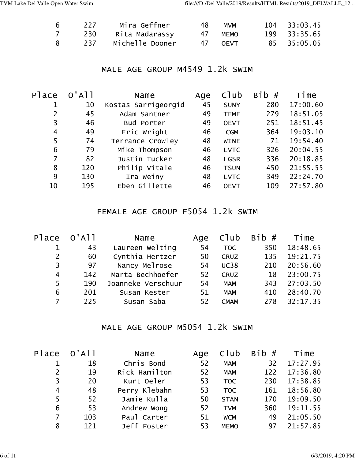| 6  | 227 | Mira Geffner    | 48. | <b>MVM</b> | 104 33:03.45 |
|----|-----|-----------------|-----|------------|--------------|
|    | 230 | Rita Madarassy  | 4/  | MEMO       | 199 33:35.65 |
| 8. | 237 | Michelle Dooner |     | 47 OEVT    | 85 35:05.05  |

## MALE AGE GROUP M4549 1.2k SWIM

| Place          | $O'$ A $11$ | Name                | Age | Club        | Bib# | Time     |
|----------------|-------------|---------------------|-----|-------------|------|----------|
|                | 10          | Kostas Sarrigeorgid | 45  | <b>SUNY</b> | 280  | 17:00.60 |
| $\overline{2}$ | 45          | Adam Santner        | 49  | <b>TEME</b> | 279  | 18:51.05 |
| 3              | 46          | Bud Porter          | 49  | <b>OEVT</b> | 251  | 18:51.45 |
| 4              | 49          | Eric Wright         | 46  | <b>CGM</b>  | 364  | 19:03.10 |
| 5              | 74          | Terrance Crowley    | 48  | <b>WINE</b> | 71   | 19:54.40 |
| 6              | 79          | Mike Thompson       | 46  | <b>LVTC</b> | 326  | 20:04.55 |
| 7              | 82          | Justin Tucker       | 48  | <b>LGSR</b> | 336  | 20:18.85 |
| 8              | 120         | Philip Vitale       | 46  | <b>TSUN</b> | 450  | 21:55.55 |
| 9              | 130         | Ira Weiny           | 48  | <b>LVTC</b> | 349  | 22:24.70 |
| 10             | 195         | Eben Gillette       | 46  | <b>OEVT</b> | 109  | 27:57.80 |
|                |             |                     |     |             |      |          |

# FEMALE AGE GROUP F5054 1.2k SWIM

| Place | $O'$ A $11$ | Name               | Age | C1ub        | Bib# | Time     |
|-------|-------------|--------------------|-----|-------------|------|----------|
|       | 43          | Laureen Welting    | 54  | <b>TOC</b>  | 350  | 18:48.65 |
| 2     | 60          | Cynthia Hertzer    | 50  | <b>CRUZ</b> | 135  | 19:21.75 |
| 3     | 97          | Nancy Melrose      | 54  | <b>UC38</b> | 210  | 20:56.60 |
| 4     | 142         | Marta Bechhoefer   | 52  | <b>CRUZ</b> | 18   | 23:00.75 |
| 5     | 190         | Joanneke Verschuur | 54  | <b>MAM</b>  | 343  | 27:03.50 |
| 6     | 201         | Susan Kester       | 51  | <b>MAM</b>  | 410  | 28:40.70 |
|       | 225         | Susan Saba         | 52  | <b>CMAM</b> | 278  | 32:17.35 |
|       |             |                    |     |             |      |          |

#### MALE AGE GROUP M5054 1.2k SWIM

| Place          | $O'$ A $11$ | Name          | Age | Club        | Bib# | Time     |
|----------------|-------------|---------------|-----|-------------|------|----------|
|                | 18          | Chris Bond    | 52  | <b>MAM</b>  | 32   | 17:27.95 |
| $\overline{2}$ | 19          | Rick Hamilton | 52  | <b>MAM</b>  | 122  | 17:36.80 |
| 3              | 20          | Kurt Oeler    | 53  | <b>TOC</b>  | 230  | 17:38.85 |
| 4              | 48          | Perry Klebahn | 53  | <b>TOC</b>  | 161  | 18:56.80 |
| 5              | 52          | Jamie Kulla   | 50  | <b>STAN</b> | 170  | 19:09.50 |
| 6              | 53          | Andrew Wong   | 52  | <b>TVM</b>  | 360  | 19:11.55 |
| 7              | 103         | Paul Carter   | 51  | <b>WCM</b>  | 49   | 21:05.50 |
| 8              | 121         | Jeff Foster   | 53  | <b>MEMO</b> | 97   | 21:57.85 |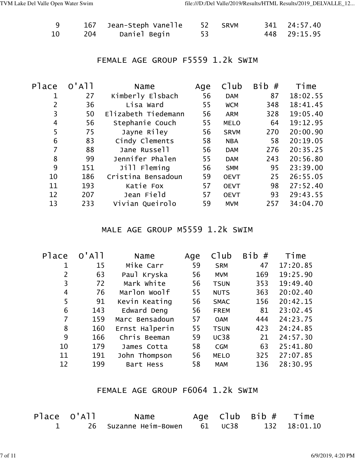|    |     | 167 Jean-Steph Vanelle | 52 SRVM | 341 24:57.40 |
|----|-----|------------------------|---------|--------------|
| 10 | 204 | Daniel Begin           |         | 448 29:15.95 |

# FEMALE AGE GROUP F5559 1.2k SWIM

| Place | $O'$ A $1$ | Name                | Age | C1ub        | Bib<br># | Time     |
|-------|------------|---------------------|-----|-------------|----------|----------|
| 1     | 27         | Kimberly Elsbach    | 56  | <b>DAM</b>  | 87       | 18:02.55 |
| 2     | 36         | Lisa Ward           | 55  | <b>WCM</b>  | 348      | 18:41.45 |
| 3     | 50         | Elizabeth Tiedemann | 56  | <b>ARM</b>  | 328      | 19:05.40 |
| 4     | 56         | Stephanie Couch     | 55  | <b>MELO</b> | 64       | 19:12.95 |
| 5     | 75         | Jayne Riley         | 56  | <b>SRVM</b> | 270      | 20:00.90 |
| 6     | 83         | Cindy Clements      | 58  | <b>NBA</b>  | 58       | 20:19.05 |
| 7     | 88         | Jane Russell        | 56  | <b>DAM</b>  | 276      | 20:35.25 |
| 8     | 99         | Jennifer Phalen     | 55  | <b>DAM</b>  | 243      | 20:56.80 |
| 9     | 151        | Jill Fleming        | 56  | <b>SMM</b>  | 95       | 23:39.00 |
| 10    | 186        | Cristina Bensadoun  | 59  | <b>OEVT</b> | 25       | 26:55.05 |
| 11    | 193        | Katie Fox           | 57  | <b>OEVT</b> | 98       | 27:52.40 |
| 12    | 207        | Jean Field          | 57  | <b>OEVT</b> | 93       | 29:43.55 |
| 13    | 233        | Vivian Queirolo     | 59  | <b>MVM</b>  | 257      | 34:04.70 |
|       |            |                     |     |             |          |          |

## MALE AGE GROUP M5559 1.2k SWIM

| Place | $O'$ A $11$ | Name           | Age | C1ub        | <b>Bib</b><br># | Time     |
|-------|-------------|----------------|-----|-------------|-----------------|----------|
| 1     | 15          | Mike Carr      | 59  | <b>SRM</b>  | 47              | 17:20.85 |
| 2     | 63          | Paul Kryska    | 56  | <b>MVM</b>  | 169             | 19:25.90 |
| 3     | 72          | Mark White     | 56  | <b>TSUN</b> | 353             | 19:49.40 |
| 4     | 76          | Marlon Woolf   | 55  | <b>NUTS</b> | 363             | 20:02.40 |
| 5     | 91          | Kevin Keating  | 56  | <b>SMAC</b> | 156             | 20:42.15 |
| 6     | 143         | Edward Deng    | 56  | <b>FREM</b> | 81              | 23:02.45 |
| 7     | 159         | Marc Bensadoun | 57  | <b>OAM</b>  | 444             | 24:23.75 |
| 8     | 160         | Ernst Halperin | 55  | <b>TSUN</b> | 423             | 24:24.85 |
| 9     | 166         | Chris Beeman   | 59  | <b>UC38</b> | 21              | 24:57.30 |
| 10    | 179         | James Cotta    | 58  | <b>CGM</b>  | 63              | 25:41.80 |
| 11    | 191         | John Thompson  | 56  | <b>MELO</b> | 325             | 27:07.85 |
| 12    | 199         | Bart Hess      | 58  | <b>MAM</b>  | 136             | 28:30.95 |

# FEMALE AGE GROUP F6064 1.2k SWIM

| Place O'All | Name                          |  | Age $C1ub$ Bib $#$ Time |
|-------------|-------------------------------|--|-------------------------|
|             | 26 Suzanne Heim-Bowen 61 UC38 |  | 132 18:01.10            |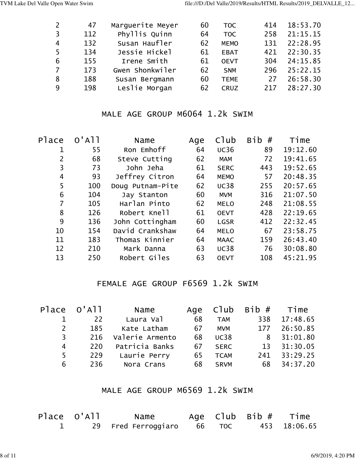| $\overline{2}$ | 47  | Marquerite Meyer | 60 | <b>TOC</b>  | 414 | 18:53.70 |
|----------------|-----|------------------|----|-------------|-----|----------|
| $\overline{3}$ | 112 | Phyllis Quinn    | 64 | <b>TOC</b>  | 258 | 21:15.15 |
| $\overline{4}$ | 132 | Susan Haufler    | 62 | <b>MEMO</b> | 131 | 22:28.95 |
| -5             | 134 | Jessie Hickel    | 61 | <b>EBAT</b> | 421 | 22:30.35 |
| 6              | 155 | Irene Smith      | 61 | <b>OEVT</b> | 304 | 24:15.85 |
| <sup>7</sup>   | 173 | Gwen Shonkwiler  | 62 | <b>SNM</b>  | 296 | 25:22.15 |
| 8              | 188 | Susan Bergmann   | 60 | <b>TEME</b> | 27  | 26:58.30 |
| 9              | 198 | Leslie Morgan    | 62 | <b>CRUZ</b> | 217 | 28:27.30 |
|                |     |                  |    |             |     |          |

# MALE AGE GROUP M6064 1.2k SWIM

| Place | $O'$ A $11$ | Name             | Age | C1ub        | <b>Bib</b><br># | Time     |
|-------|-------------|------------------|-----|-------------|-----------------|----------|
| 1     | 55          | Ron Emhoff       | 64  | <b>UC36</b> | 89              | 19:12.60 |
|       | 68          | Steve Cutting    | 62  | <b>MAM</b>  | 72              | 19:41.65 |
| 3     | 73          | John Jeha        | 61  | <b>SERC</b> | 443             | 19:52.65 |
| 4     | 93          | Jeffrey Citron   | 64  | <b>MEMO</b> | 57              | 20:48.35 |
| 5     | 100         | Doug Putnam-Pite | 62  | <b>UC38</b> | 255             | 20:57.65 |
| 6     | 104         | Jay Stanton      | 60  | <b>MVM</b>  | 316             | 21:07.50 |
| 7     | 105         | Harlan Pinto     | 62  | <b>MELO</b> | 248             | 21:08.55 |
| 8     | 126         | Robert Knell     | 61  | <b>OEVT</b> | 428             | 22:19.65 |
| 9     | 136         | John Cottingham  | 60  | <b>LGSR</b> | 412             | 22:32.45 |
| 10    | 154         | David Crankshaw  | 64  | <b>MELO</b> | 67              | 23:58.75 |
| 11    | 183         | Thomas Kinnier   | 64  | <b>MAAC</b> | 159             | 26:43.40 |
| 12    | 210         | Mark Danna       | 63  | <b>UC38</b> | 76              | 30:08.80 |
| 13    | 250         | Robert Giles     | 63  | <b>OEVT</b> | 108             | 45:21.95 |
|       |             |                  |     |             |                 |          |

# FEMALE AGE GROUP F6569 1.2k SWIM

|                | Place O'All | Name            |    |             | Age $C1ub$ Bib $#$ Time |              |
|----------------|-------------|-----------------|----|-------------|-------------------------|--------------|
|                | 22          | Laura Val       | 68 | <b>TAM</b>  |                         | 338 17:48.65 |
| 2              | 185         | Kate Latham     | 67 | <b>MVM</b>  |                         | 177 26:50.85 |
| 3 <sup>7</sup> | 216         | Valerie Armento | 68 | <b>UC38</b> |                         | 8 31:01.80   |
| 4              | 220         | Patricia Banks  |    | 67 SERC     |                         | 13 31:30.05  |
| 5              | 229         | Laurie Perry    | 65 | <b>TCAM</b> |                         | 241 33:29.25 |
| 6              | 236         | Nora Crans      | 68 | <b>SRVM</b> | 68                      | 34:37.20     |

# MALE AGE GROUP M6569 1.2k SWIM

| Place O'All | Name                       |  | Age $C1ub$ Bib $#$ Time |              |
|-------------|----------------------------|--|-------------------------|--------------|
|             | 29 Fred Ferroggiaro 66 TOC |  |                         | 453 18:06.65 |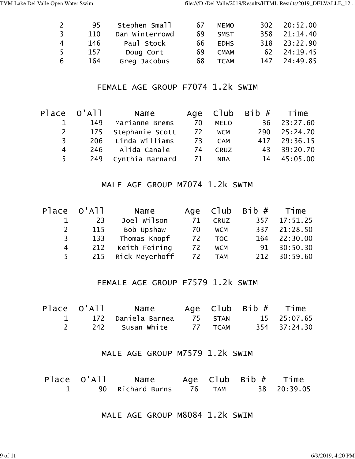|                | 95  | Stephen Small  | 67 | <b>MEMO</b> | 302. | 20:52.00 |
|----------------|-----|----------------|----|-------------|------|----------|
| 3              | 110 | Dan Winterrowd | 69 | <b>SMST</b> | 358  | 21:14.40 |
| 4              | 146 | Paul Stock     | 66 | <b>EDHS</b> | 318  | 23:22.90 |
| $\overline{5}$ | 157 | Doug Cort      | 69 | <b>CMAM</b> | .62  | 24:19.45 |
| 6              | 164 | Greg Jacobus   | 68 | <b>TCAM</b> | 147  | 24:49.85 |

## FEMALE AGE GROUP F7074 1.2k SWIM

|                | Place O'All | Name                |    |             | Age $C1ub$ Bib $#$ Time |              |
|----------------|-------------|---------------------|----|-------------|-------------------------|--------------|
|                | 149         | Marianne Brems      | 70 | <b>MELO</b> |                         | 36 23:27.60  |
| 2              |             | 175 Stephanie Scott |    | 72 WCM      |                         | 290 25:24.70 |
| 3 <sup>7</sup> |             | 206 Linda Williams  | 73 | <b>CAM</b>  |                         | 417 29:36.15 |
| 4              |             | 246 Alida Canale    | 74 | <b>CRUZ</b> |                         | 43 39:20.70  |
| 5 <sup>5</sup> |             | 249 Cynthia Barnard | 71 | <b>NBA</b>  |                         | 14 45:05.00  |

#### MALE AGE GROUP M7074 1.2k SWIM

|                | Place O'All | Name               |    |            | Age $C1ub$ Bib $#$ Time |              |
|----------------|-------------|--------------------|----|------------|-------------------------|--------------|
|                | 23          | Joel Wilson        | 71 | CRUZ       |                         | 357 17:51.25 |
| $\mathsf{2}$   | 115         | Bob Upshaw         | 70 | <b>WCM</b> |                         | 337 21:28.50 |
| 3 <sup>7</sup> | 133         | Thomas Knopf       |    | 72 TOC     |                         | 164 22:30.00 |
| 4              | 212         | Keith Feiring      | 72 | <b>WCM</b> |                         | 91 30:50.30  |
| 5 <sup>7</sup> |             | 215 Rick Meyerhoff |    | 72 TAM     |                         | 212 30:59.60 |

## FEMALE AGE GROUP F7579 1.2k SWIM

|  | Place O'All   Name  |         | Age $C1ub$ Bib $#$ Time |              |
|--|---------------------|---------|-------------------------|--------------|
|  |                     |         |                         | 15 25:07.65  |
|  | 242     Susan White | 77 TCAM |                         | 354 37:24.30 |

#### MALE AGE GROUP M7579 1.2k SWIM

| Place O'All | Name                          |  | Age $C1ub$ Bib $#$ Time |
|-------------|-------------------------------|--|-------------------------|
|             | 90 Richard Burns    76    TAM |  | 38 20:39.05             |

MALE AGE GROUP M8084 1.2k SWIM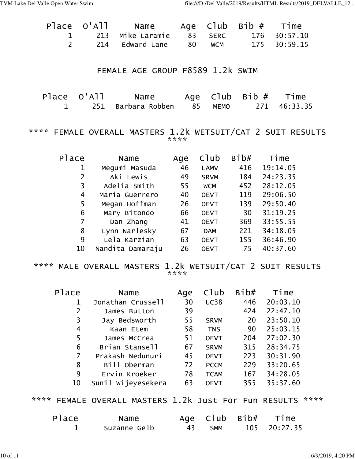|  | 1 213 Mike Laramie 83 SERC 176 30:57.10 |  |              |
|--|-----------------------------------------|--|--------------|
|  |                                         |  | 175 30:59.15 |

#### FEMALE AGE GROUP F8589 1.2k SWIM

| Place O'All | Name                         |  | Age $C1ub$ Bib $#$ Time |              |
|-------------|------------------------------|--|-------------------------|--------------|
|             | 1 251 Barbara Robben 85 MEMO |  |                         | 271 46:33.35 |

#### \*\*\*\* FEMALE OVERALL MASTERS 1.2k WETSUIT/CAT 2 SUIT RESULTS \*\*\*\*

| Place | Name             | Age | Club        | Bib# | Time     |
|-------|------------------|-----|-------------|------|----------|
| 1     | Megumi Masuda    | 46  | <b>LAMV</b> | 416  | 19:14.05 |
| 2     | Aki Lewis        | 49  | <b>SRVM</b> | 184  | 24:23.35 |
| 3     | Adelia Smith     | 55  | <b>WCM</b>  | 452  | 28:12.05 |
| 4     | Maria Guerrero   | 40  | <b>OEVT</b> | 119  | 29:06.50 |
| 5     | Megan Hoffman    | 26  | <b>OEVT</b> | 139  | 29:50.40 |
| 6     | Mary Bitondo     | 66  | <b>OEVT</b> | 30   | 31:19.25 |
| 7     | Dan Zhang        | 41  | <b>OEVT</b> | 369  | 33:55.55 |
| 8     | Lynn Narlesky    | 67  | <b>DAM</b>  | 221  | 34:18.05 |
| 9     | Lela Karzian     | 63  | <b>OEVT</b> | 155  | 36:46.90 |
| 10    | Nandita Damaraju | 26  | <b>OEVT</b> | 75   | 40:37.60 |

\*\*\*\* MALE OVERALL MASTERS 1.2k WETSUIT/CAT 2 SUIT RESULTS \*\*\*\*

| Place          | Name               | Age | Club        | Bib# | Time     |
|----------------|--------------------|-----|-------------|------|----------|
| $\mathbf 1$    | Jonathan Crussell  | 30  | <b>UC38</b> | 446  | 20:03.10 |
| $\overline{2}$ | James Button       | 39  |             | 424  | 22:47.10 |
| 3              | Jay Bedsworth      | 55  | <b>SRVM</b> | 20   | 23:50.10 |
| 4              | Kaan Etem          | 58  | <b>TNS</b>  | 90   | 25:03.15 |
| 5              | James McCrea       | 51  | <b>OEVT</b> | 204  | 27:02.30 |
| 6              | Brian Stansell     | 67  | <b>SRVM</b> | 315  | 28:34.75 |
| 7              | Prakash Nedunuri   | 45  | <b>OEVT</b> | 223  | 30:31.90 |
| 8              | Bill Oberman       | 72  | <b>PCCM</b> | 229  | 33:20.65 |
| 9              | Ervin Kroeker      | 78  | <b>TCAM</b> | 167  | 34:28.05 |
| 10             | Sunil Wijeyesekera | 63  | <b>OEVT</b> | 355  | 35:37.60 |
|                |                    |     |             |      |          |

#### \*\*\*\* FEMALE OVERALL MASTERS 1.2k Just For Fun RESULTS \*\*\*\*

| Place | Name         |        | Age Club Bib# Time |
|-------|--------------|--------|--------------------|
|       | Suzanne Gelb | 43 SMM | 105 20:27.35       |